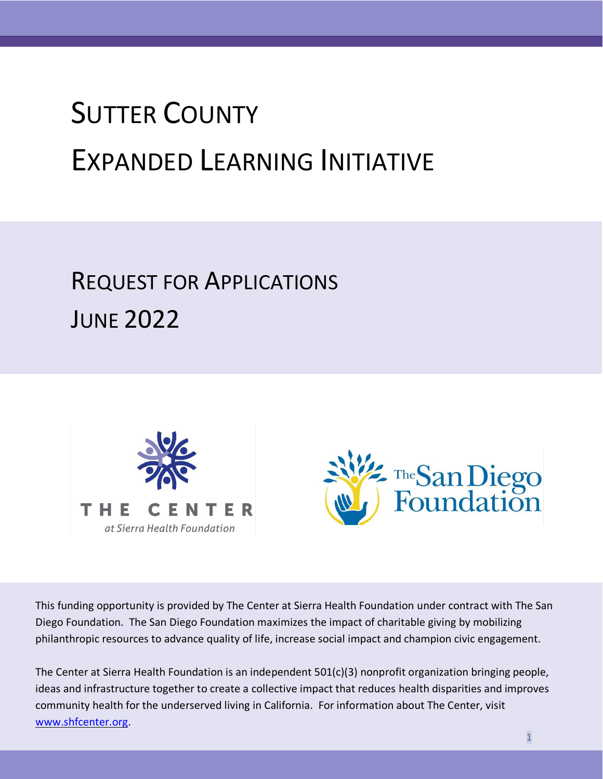# SUTTER COUNTY EXPANDED LEARNING INITIATIVE

## REQUEST FOR APPLICATIONS **JUNE 2022**





This funding opportunity is provided by The Center at Sierra Health Foundation under contract with The San Diego Foundation. The San Diego Foundation maximizes the impact of charitable giving by mobilizing philanthropic resources to advance quality of life, increase social impact and champion civic engagement.

The Center at Sierra Health Foundation is an independent 501(c)(3) nonprofit organization bringing people, ideas and infrastructure together to create a collective impact that reduces health disparities and improves community health for the underserved living in California. For information about The Center, visit [www.shfcenter.org.](http://www.shfcenter.org/)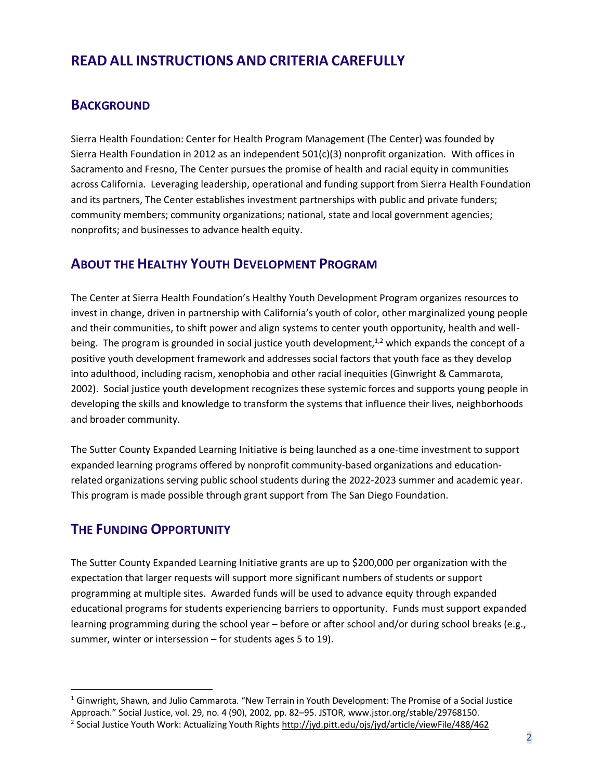## **READ ALL INSTRUCTIONS AND CRITERIA CAREFULLY**

#### **BACKGROUND**

Sierra Health Foundation: Center for Health Program Management (The Center) was founded by Sierra Health Foundation in 2012 as an independent 501(c)(3) nonprofit organization. With offices in Sacramento and Fresno, The Center pursues the promise of health and racial equity in communities across California. Leveraging leadership, operational and funding support from Sierra Health Foundation and its partners, The Center establishes investment partnerships with public and private funders; community members; community organizations; national, state and local government agencies; nonprofits; and businesses to advance health equity.

#### **ABOUT THE HEALTHY YOUTH DEVELOPMENT PROGRAM**

The Center at Sierra Health Foundation's Healthy Youth Development Program organizes resources to invest in change, driven in partnership with California's youth of color, other marginalized young people and their communities, to shift power and align systems to center youth opportunity, health and wellbeing. The program is grounded in social justice youth development, $1/2$  which expands the concept of a positive youth development framework and addresses social factors that youth face as they develop into adulthood, including racism, xenophobia and other racial inequities (Ginwright & Cammarota, 2002). Social justice youth development recognizes these systemic forces and supports young people in developing the skills and knowledge to transform the systems that influence their lives, neighborhoods and broader community.

The Sutter County Expanded Learning Initiative is being launched as a one-time investment to support expanded learning programs offered by nonprofit community-based organizations and educationrelated organizations serving public school students during the 2022-2023 summer and academic year. This program is made possible through grant support from The San Diego Foundation.

#### **THE FUNDING OPPORTUNITY**

The Sutter County Expanded Learning Initiative grants are up to \$200,000 per organization with the expectation that larger requests will support more significant numbers of students or support programming at multiple sites. Awarded funds will be used to advance equity through expanded educational programs for students experiencing barriers to opportunity. Funds must support expanded learning programming during the school year – before or after school and/or during school breaks (e.g., summer, winter or intersession – for students ages 5 to 19).

<sup>1</sup> Ginwright, Shawn, and Julio Cammarota. "New Terrain in Youth Development: The Promise of a Social Justice

Approach." Social Justice, vol. 29, no. 4 (90), 2002, pp. 82–95. JSTOR[, www.jstor.org/stable/29768150.](https://sierrahf-my.sharepoint.com/personal/mcervantes_sierrahealth_org/Documents/Microsoft%20Teams%20Chat%20Files/www.jstor.org/stable/29768150)

<sup>&</sup>lt;sup>2</sup> Social Justice Youth Work: Actualizing Youth Rights<http://jyd.pitt.edu/ojs/jyd/article/viewFile/488/462>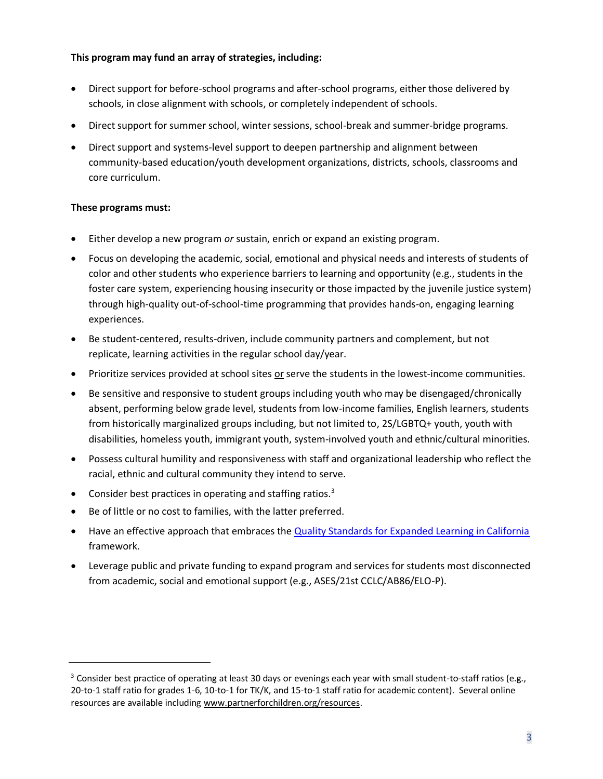#### **This program may fund an array of strategies, including:**

- Direct support for before-school programs and after-school programs, either those delivered by schools, in close alignment with schools, or completely independent of schools.
- Direct support for summer school, winter sessions, school-break and summer-bridge programs.
- Direct support and systems-level support to deepen partnership and alignment between community-based education/youth development organizations, districts, schools, classrooms and core curriculum.

#### **These programs must:**

- Either develop a new program *or* sustain, enrich or expand an existing program.
- Focus on developing the academic, social, emotional and physical needs and interests of students of color and other students who experience barriers to learning and opportunity (e.g., students in the foster care system, experiencing housing insecurity or those impacted by the juvenile justice system) through high-quality out-of-school-time programming that provides hands-on, engaging learning experiences.
- Be student-centered, results-driven, include community partners and complement, but not replicate, learning activities in the regular school day/year.
- Prioritize services provided at school sites or serve the students in the lowest-income communities.
- Be sensitive and responsive to student groups including youth who may be disengaged/chronically absent, performing below grade level, students from low-income families, English learners, students from historically marginalized groups including, but not limited to, 2S/LGBTQ+ youth, youth with disabilities, homeless youth, immigrant youth, system-involved youth and ethnic/cultural minorities.
- Possess cultural humility and responsiveness with staff and organizational leadership who reflect the racial, ethnic and cultural community they intend to serve.
- Consider best practices in operating and staffing ratios. $3$
- Be of little or no cost to families, with the latter preferred.
- Have an effective approach that embraces the [Quality Standards for Expanded Learning in California](https://www.afterschoolnetwork.org/sites/main/files/file-attachments/quality_standards.pdf) framework.
- Leverage public and private funding to expand program and services for students most disconnected from academic, social and emotional support (e.g., ASES/21st CCLC/AB86/ELO-P).

<sup>&</sup>lt;sup>3</sup> Consider best practice of operating at least 30 days or evenings each year with small student-to-staff ratios (e.g., 20-to-1 staff ratio for grades 1-6, 10-to-1 for TK/K, and 15-to-1 staff ratio for academic content). Several online resources are available includin[g www.partnerforchildren.org/resources.](http://www.partnerforchildren.org/resources)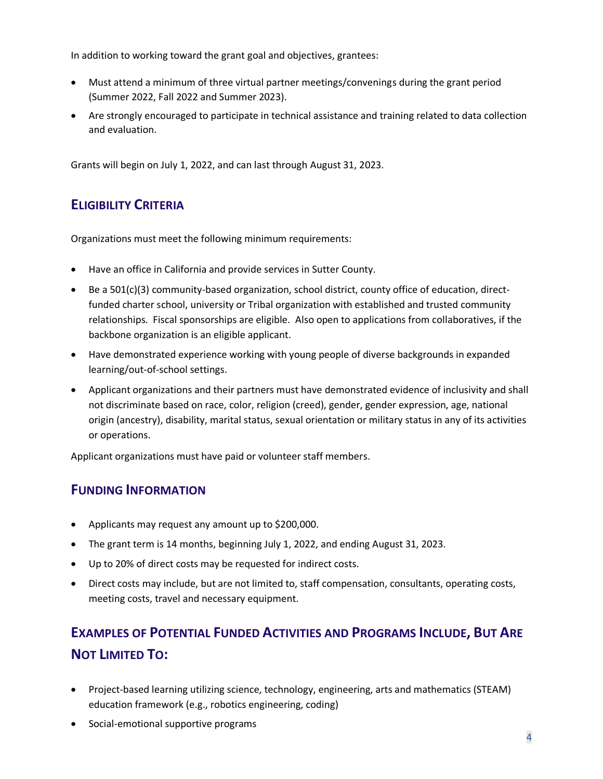In addition to working toward the grant goal and objectives, grantees:

- Must attend a minimum of three virtual partner meetings/convenings during the grant period (Summer 2022, Fall 2022 and Summer 2023).
- Are strongly encouraged to participate in technical assistance and training related to data collection and evaluation.

Grants will begin on July 1, 2022, and can last through August 31, 2023.

## **ELIGIBILITY CRITERIA**

Organizations must meet the following minimum requirements:

- Have an office in California and provide services in Sutter County.
- Be a 501(c)(3) community-based organization, school district, county office of education, directfunded charter school, university or Tribal organization with established and trusted community relationships. Fiscal sponsorships are eligible. Also open to applications from collaboratives, if the backbone organization is an eligible applicant.
- Have demonstrated experience working with young people of diverse backgrounds in expanded learning/out-of-school settings.
- Applicant organizations and their partners must have demonstrated evidence of inclusivity and shall not discriminate based on race, color, religion (creed), gender, gender expression, age, national origin (ancestry), disability, marital status, sexual orientation or military status in any of its activities or operations.

Applicant organizations must have paid or volunteer staff members.

## **FUNDING INFORMATION**

- Applicants may request any amount up to \$200,000.
- The grant term is 14 months, beginning July 1, 2022, and ending August 31, 2023.
- Up to 20% of direct costs may be requested for indirect costs.
- Direct costs may include, but are not limited to, staff compensation, consultants, operating costs, meeting costs, travel and necessary equipment.

## **EXAMPLES OF POTENTIAL FUNDED ACTIVITIES AND PROGRAMS INCLUDE, BUT ARE NOT LIMITED TO:**

- Project-based learning utilizing science, technology, engineering, arts and mathematics (STEAM) education framework (e.g., robotics engineering, coding)
- Social-emotional supportive programs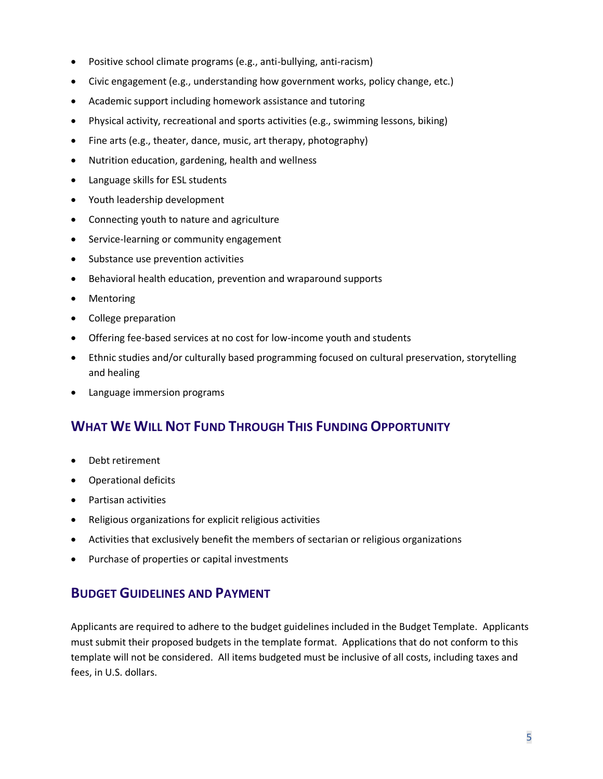- Positive school climate programs (e.g., anti-bullying, anti-racism)
- Civic engagement (e.g., understanding how government works, policy change, etc.)
- Academic support including homework assistance and tutoring
- Physical activity, recreational and sports activities (e.g., swimming lessons, biking)
- Fine arts (e.g., theater, dance, music, art therapy, photography)
- Nutrition education, gardening, health and wellness
- Language skills for ESL students
- Youth leadership development
- Connecting youth to nature and agriculture
- Service-learning or community engagement
- Substance use prevention activities
- Behavioral health education, prevention and wraparound supports
- Mentoring
- College preparation
- Offering fee-based services at no cost for low-income youth and students
- Ethnic studies and/or culturally based programming focused on cultural preservation, storytelling and healing
- Language immersion programs

## **WHAT WE WILL NOT FUND THROUGH THIS FUNDING OPPORTUNITY**

- Debt retirement
- Operational deficits
- Partisan activities
- Religious organizations for explicit religious activities
- Activities that exclusively benefit the members of sectarian or religious organizations
- Purchase of properties or capital investments

#### **BUDGET GUIDELINES AND PAYMENT**

Applicants are required to adhere to the budget guidelines included in the Budget Template. Applicants must submit their proposed budgets in the template format. Applications that do not conform to this template will not be considered. All items budgeted must be inclusive of all costs, including taxes and fees, in U.S. dollars.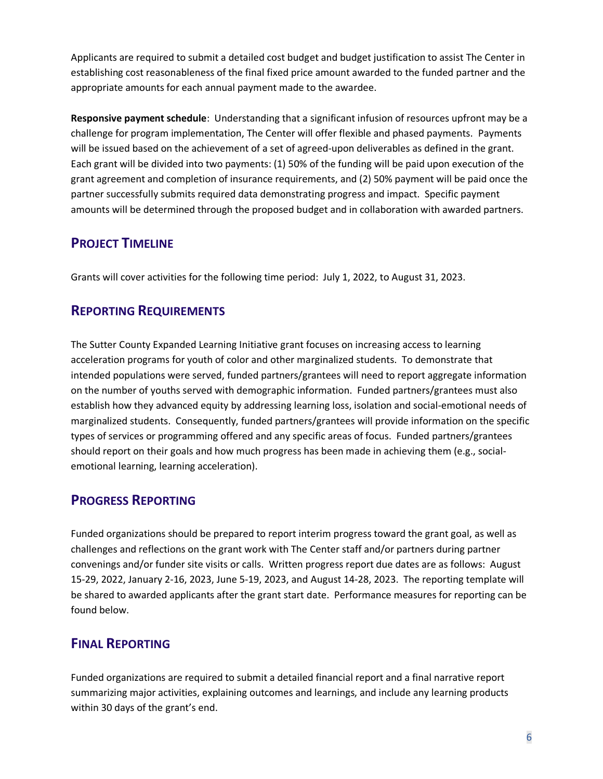Applicants are required to submit a detailed cost budget and budget justification to assist The Center in establishing cost reasonableness of the final fixed price amount awarded to the funded partner and the appropriate amounts for each annual payment made to the awardee.

**Responsive payment schedule**: Understanding that a significant infusion of resources upfront may be a challenge for program implementation, The Center will offer flexible and phased payments. Payments will be issued based on the achievement of a set of agreed-upon deliverables as defined in the grant. Each grant will be divided into two payments: (1) 50% of the funding will be paid upon execution of the grant agreement and completion of insurance requirements, and (2) 50% payment will be paid once the partner successfully submits required data demonstrating progress and impact. Specific payment amounts will be determined through the proposed budget and in collaboration with awarded partners.

## **PROJECT TIMELINE**

Grants will cover activities for the following time period: July 1, 2022, to August 31, 2023.

## **REPORTING REQUIREMENTS**

The Sutter County Expanded Learning Initiative grant focuses on increasing access to learning acceleration programs for youth of color and other marginalized students. To demonstrate that intended populations were served, funded partners/grantees will need to report aggregate information on the number of youths served with demographic information. Funded partners/grantees must also establish how they advanced equity by addressing learning loss, isolation and social-emotional needs of marginalized students. Consequently, funded partners/grantees will provide information on the specific types of services or programming offered and any specific areas of focus. Funded partners/grantees should report on their goals and how much progress has been made in achieving them (e.g., socialemotional learning, learning acceleration).

## **PROGRESS REPORTING**

Funded organizations should be prepared to report interim progress toward the grant goal, as well as challenges and reflections on the grant work with The Center staff and/or partners during partner convenings and/or funder site visits or calls. Written progress report due dates are as follows: August 15-29, 2022, January 2-16, 2023, June 5-19, 2023, and August 14-28, 2023. The reporting template will be shared to awarded applicants after the grant start date. Performance measures for reporting can be found below.

## **FINAL REPORTING**

Funded organizations are required to submit a detailed financial report and a final narrative report summarizing major activities, explaining outcomes and learnings, and include any learning products within 30 days of the grant's end.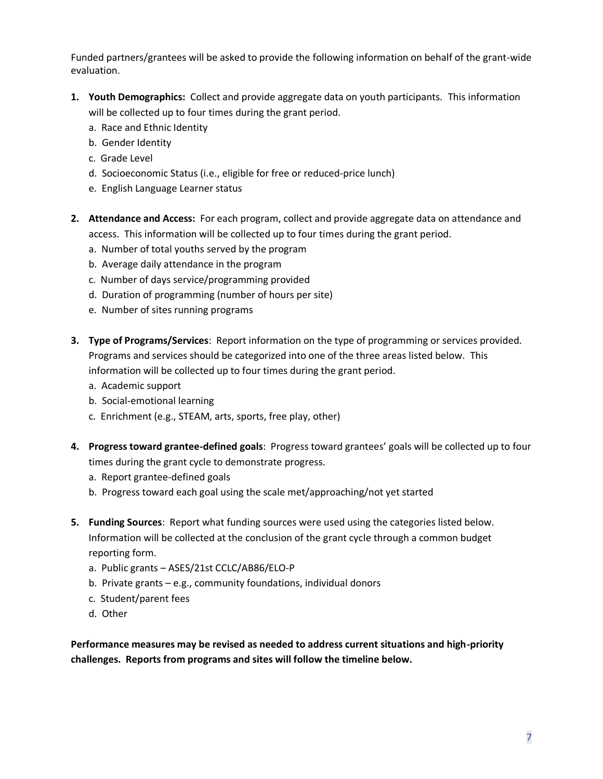Funded partners/grantees will be asked to provide the following information on behalf of the grant-wide evaluation.

- **1. Youth Demographics:** Collect and provide aggregate data on youth participants. This information will be collected up to four times during the grant period.
	- a. Race and Ethnic Identity
	- b. Gender Identity
	- c. Grade Level
	- d. Socioeconomic Status (i.e., eligible for free or reduced-price lunch)
	- e. English Language Learner status
- **2. Attendance and Access:** For each program, collect and provide aggregate data on attendance and access. This information will be collected up to four times during the grant period.
	- a. Number of total youths served by the program
	- b. Average daily attendance in the program
	- c. Number of days service/programming provided
	- d. Duration of programming (number of hours per site)
	- e. Number of sites running programs
- **3. Type of Programs/Services**: Report information on the type of programming or services provided. Programs and services should be categorized into one of the three areas listed below. This information will be collected up to four times during the grant period.
	- a. Academic support
	- b. Social-emotional learning
	- c. Enrichment (e.g., STEAM, arts, sports, free play, other)
- **4. Progress toward grantee-defined goals**: Progress toward grantees' goals will be collected up to four times during the grant cycle to demonstrate progress.
	- a. Report grantee-defined goals
	- b. Progress toward each goal using the scale met/approaching/not yet started
- **5. Funding Sources**: Report what funding sources were used using the categories listed below. Information will be collected at the conclusion of the grant cycle through a common budget reporting form.
	- a. Public grants ASES/21st CCLC/AB86/ELO-P
	- b. Private grants e.g., community foundations, individual donors
	- c. Student/parent fees
	- d. Other

**Performance measures may be revised as needed to address current situations and high-priority challenges. Reports from programs and sites will follow the timeline below.**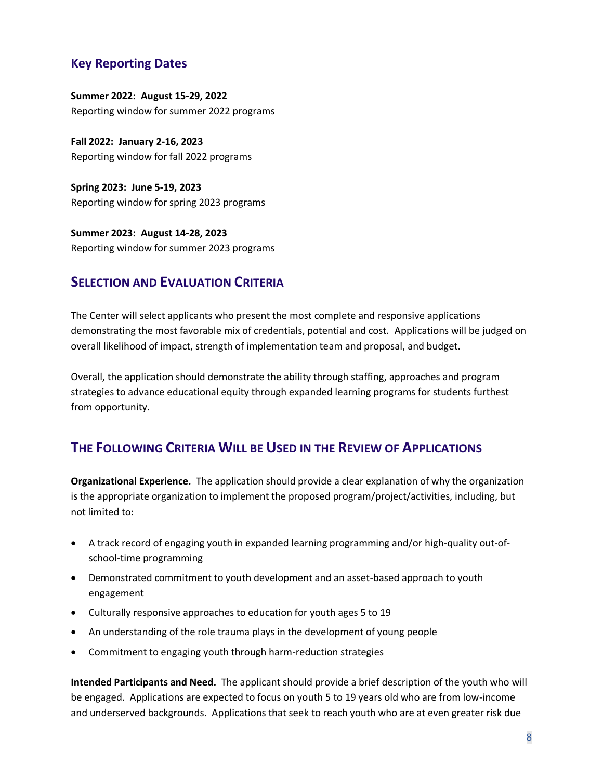#### **Key Reporting Dates**

**Summer 2022: August 15-29, 2022**  Reporting window for summer 2022 programs

**Fall 2022: January 2-16, 2023** Reporting window for fall 2022 programs

**Spring 2023: June 5-19, 2023** Reporting window for spring 2023 programs

**Summer 2023: August 14-28, 2023** Reporting window for summer 2023 programs

#### **SELECTION AND EVALUATION CRITERIA**

The Center will select applicants who present the most complete and responsive applications demonstrating the most favorable mix of credentials, potential and cost. Applications will be judged on overall likelihood of impact, strength of implementation team and proposal, and budget.

Overall, the application should demonstrate the ability through staffing, approaches and program strategies to advance educational equity through expanded learning programs for students furthest from opportunity.

## **THE FOLLOWING CRITERIA WILL BE USED IN THE REVIEW OF APPLICATIONS**

**Organizational Experience.** The application should provide a clear explanation of why the organization is the appropriate organization to implement the proposed program/project/activities, including, but not limited to:

- A track record of engaging youth in expanded learning programming and/or high-quality out-ofschool-time programming
- Demonstrated commitment to youth development and an asset-based approach to youth engagement
- Culturally responsive approaches to education for youth ages 5 to 19
- An understanding of the role trauma plays in the development of young people
- Commitment to engaging youth through harm-reduction strategies

**Intended Participants and Need.** The applicant should provide a brief description of the youth who will be engaged. Applications are expected to focus on youth 5 to 19 years old who are from low-income and underserved backgrounds. Applications that seek to reach youth who are at even greater risk due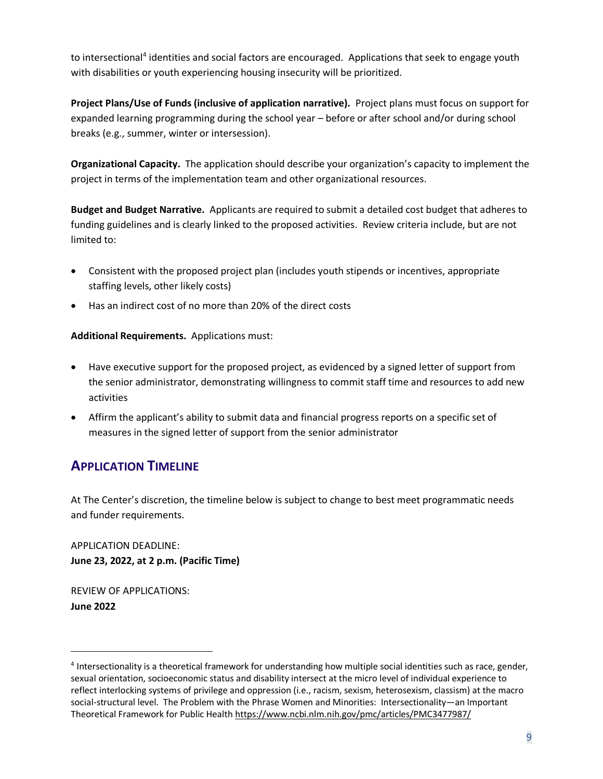to intersectional<sup>4</sup> identities and social factors are encouraged. Applications that seek to engage youth with disabilities or youth experiencing housing insecurity will be prioritized.

**Project Plans/Use of Funds (inclusive of application narrative).** Project plans must focus on support for expanded learning programming during the school year – before or after school and/or during school breaks (e.g., summer, winter or intersession).

**Organizational Capacity.** The application should describe your organization's capacity to implement the project in terms of the implementation team and other organizational resources.

**Budget and Budget Narrative.** Applicants are required to submit a detailed cost budget that adheres to funding guidelines and is clearly linked to the proposed activities. Review criteria include, but are not limited to:

- Consistent with the proposed project plan (includes youth stipends or incentives, appropriate staffing levels, other likely costs)
- Has an indirect cost of no more than 20% of the direct costs

**Additional Requirements.** Applications must:

- Have executive support for the proposed project, as evidenced by a signed letter of support from the senior administrator, demonstrating willingness to commit staff time and resources to add new activities
- Affirm the applicant's ability to submit data and financial progress reports on a specific set of measures in the signed letter of support from the senior administrator

## **APPLICATION TIMELINE**

At The Center's discretion, the timeline below is subject to change to best meet programmatic needs and funder requirements.

APPLICATION DEADLINE: **June 23, 2022, at 2 p.m. (Pacific Time)** 

REVIEW OF APPLICATIONS: **June 2022** 

<sup>&</sup>lt;sup>4</sup> Intersectionality is a theoretical framework for understanding how multiple social identities such as race, gender, sexual orientation, socioeconomic status and disability intersect at the micro level of individual experience to reflect interlocking systems of privilege and oppression (i.e., racism, sexism, heterosexism, classism) at the macro social-structural level. The Problem with the Phrase Women and Minorities: Intersectionality—an Important Theoretical Framework for Public Healt[h https://www.ncbi.nlm.nih.gov/pmc/articles/PMC3477987/](https://www.ncbi.nlm.nih.gov/pmc/articles/PMC3477987/)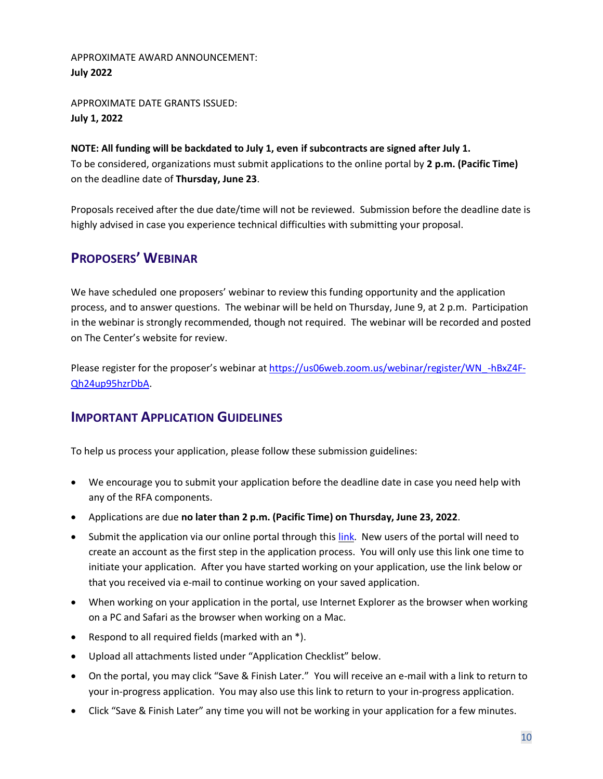#### APPROXIMATE AWARD ANNOUNCEMENT: **July 2022**

APPROXIMATE DATE GRANTS ISSUED: **July 1, 2022** 

#### **NOTE: All funding will be backdated to July 1, even if subcontracts are signed after July 1.** To be considered, organizations must submit applications to the online portal by **2 p.m. (Pacific Time)**

on the deadline date of **Thursday, June 23**.

Proposals received after the due date/time will not be reviewed. Submission before the deadline date is highly advised in case you experience technical difficulties with submitting your proposal.

## **PROPOSERS' WEBINAR**

We have scheduled one proposers' webinar to review this funding opportunity and the application process, and to answer questions. The webinar will be held on Thursday, June 9, at 2 p.m. Participation in the webinar is strongly recommended, though not required. The webinar will be recorded and posted on The Center's website for review.

Please register for the proposer's webinar at [https://us06web.zoom.us/webinar/register/WN\\_-hBxZ4F-](https://us06web.zoom.us/webinar/register/WN_-hBxZ4F-Qh24up95hzrDbA)[Qh24up95hzrDbA.](https://us06web.zoom.us/webinar/register/WN_-hBxZ4F-Qh24up95hzrDbA)

## **IMPORTANT APPLICATION GUIDELINES**

To help us process your application, please follow these submission guidelines:

- We encourage you to submit your application before the deadline date in case you need help with any of the RFA components.
- Applications are due **no later than 2 p.m. (Pacific Time) on Thursday, June 23, 2022**.
- Submit the application via our online portal through thi[s link.](https://sierrahealth.tfaforms.net/30) New users of the portal will need to create an account as the first step in the application process. You will only use this link one time to initiate your application. After you have started working on your application, use the link below or that you received via e-mail to continue working on your saved application.
- When working on your application in the portal, use Internet Explorer as the browser when working on a PC and Safari as the browser when working on a Mac.
- Respond to all required fields (marked with an \*).
- Upload all attachments listed under "Application Checklist" below.
- On the portal, you may click "Save & Finish Later." You will receive an e-mail with a link to return to your in-progress application. You may also use this link to return to your in-progress application.
- Click "Save & Finish Later" any time you will not be working in your application for a few minutes.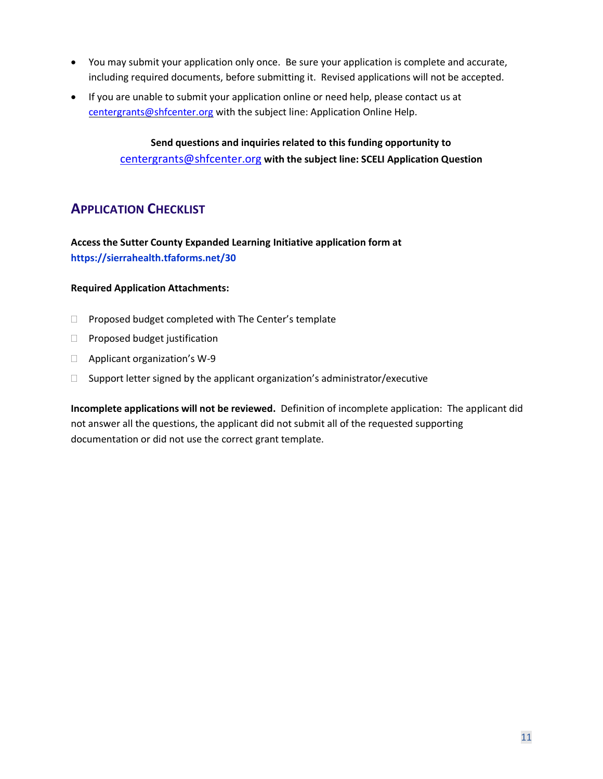- You may submit your application only once. Be sure your application is complete and accurate, including required documents, before submitting it. Revised applications will not be accepted.
- If you are unable to submit your application online or need help, please contact us at [centergrants@shfcenter.org](mailto:centergrants@shfcenter.org) with the subject line: Application Online Help.

**Send questions and inquiries related to this funding opportunity to**  [centergrants@shfcenter.org](mailto:centergrants@shfcenter.org) **with the subject line: SCELI Application Question**

## **APPLICATION CHECKLIST**

**Access the Sutter County Expanded Learning Initiative application form at https://sierrahealth.tfaforms.net/30**

#### **Required Application Attachments:**

- $\Box$  Proposed budget completed with The Center's template
- $\Box$  Proposed budget justification
- □ Applicant organization's W-9
- $\Box$  Support letter signed by the applicant organization's administrator/executive

**Incomplete applications will not be reviewed.** Definition of incomplete application: The applicant did not answer all the questions, the applicant did not submit all of the requested supporting documentation or did not use the correct grant template.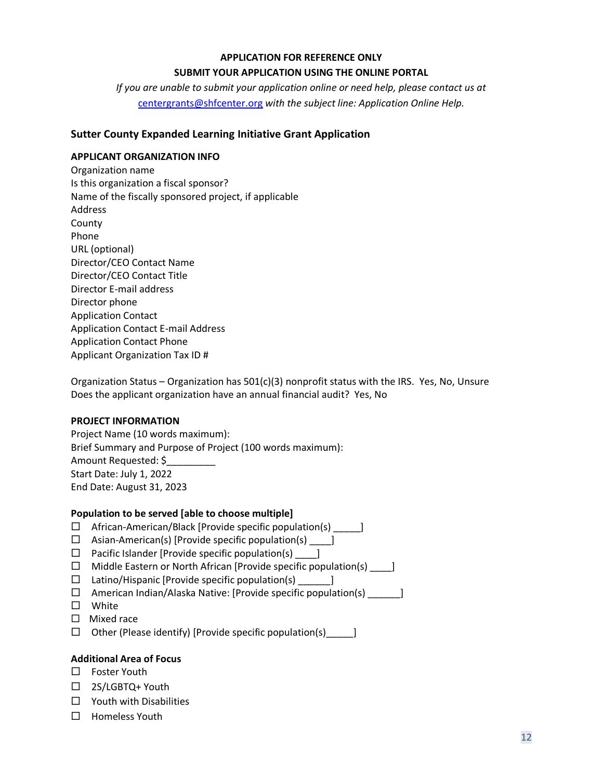#### **APPLICATION FOR REFERENCE ONLY**

#### **SUBMIT YOUR APPLICATION USING THE ONLINE PORTAL**

*If you are unable to submit your application online or need help, please contact us at* [centergrants@shfcenter.org](mailto:centergrants@shfcenter.org) *with the subject line: Application Online Help.*

#### **Sutter County Expanded Learning Initiative Grant Application**

#### **APPLICANT ORGANIZATION INFO**

Organization name Is this organization a fiscal sponsor? Name of the fiscally sponsored project, if applicable Address County Phone URL (optional) Director/CEO Contact Name Director/CEO Contact Title Director E-mail address Director phone Application Contact Application Contact E-mail Address Application Contact Phone Applicant Organization Tax ID #

Organization Status – Organization has  $501(c)(3)$  nonprofit status with the IRS. Yes, No, Unsure Does the applicant organization have an annual financial audit? Yes, No

#### **PROJECT INFORMATION**

Project Name (10 words maximum): Brief Summary and Purpose of Project (100 words maximum): Amount Requested: \$\_\_\_\_\_\_\_\_\_ Start Date: July 1, 2022 End Date: August 31, 2023

#### **Population to be served [able to choose multiple]**

- $\Box$  African-American/Black [Provide specific population(s)  $\Box$
- $\Box$  Asian-American(s) [Provide specific population(s)  $\Box$
- $\Box$  Pacific Islander [Provide specific population(s)  $\Box$
- $\Box$  Middle Eastern or North African [Provide specific population(s) \_\_\_\_\_\_]
- $\Box$  Latino/Hispanic [Provide specific population(s)  $\Box$
- $\Box$  American Indian/Alaska Native: [Provide specific population(s) \_\_\_\_\_\_\_]
- White
- $\Box$  Mixed race
- $\Box$  Other (Please identify) [Provide specific population(s)  $\Box$

#### **Additional Area of Focus**

- □ Foster Youth
- □ 2S/LGBTQ+ Youth
- $\Box$  Youth with Disabilities
- $\Box$  Homeless Youth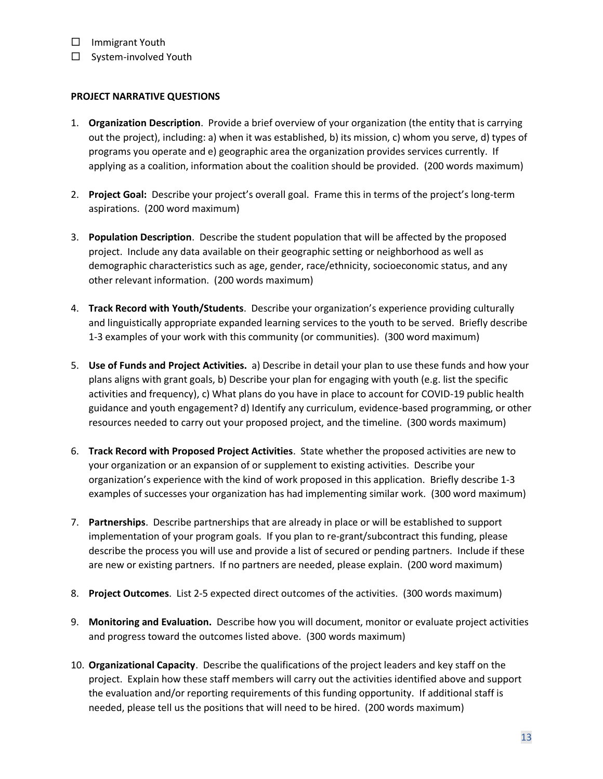- □ Immigrant Youth
- $\square$  System-involved Youth

#### **PROJECT NARRATIVE QUESTIONS**

- 1. **Organization Description**. Provide a brief overview of your organization (the entity that is carrying out the project), including: a) when it was established, b) its mission, c) whom you serve, d) types of programs you operate and e) geographic area the organization provides services currently. If applying as a coalition, information about the coalition should be provided. (200 words maximum)
- 2. **Project Goal:** Describe your project's overall goal. Frame this in terms of the project's long-term aspirations. (200 word maximum)
- 3. **Population Description**. Describe the student population that will be affected by the proposed project. Include any data available on their geographic setting or neighborhood as well as demographic characteristics such as age, gender, race/ethnicity, socioeconomic status, and any other relevant information. (200 words maximum)
- 4. **Track Record with Youth/Students**. Describe your organization's experience providing culturally and linguistically appropriate expanded learning services to the youth to be served. Briefly describe 1-3 examples of your work with this community (or communities). (300 word maximum)
- 5. **Use of Funds and Project Activities.** a) Describe in detail your plan to use these funds and how your plans aligns with grant goals, b) Describe your plan for engaging with youth (e.g. list the specific activities and frequency), c) What plans do you have in place to account for COVID-19 public health guidance and youth engagement? d) Identify any curriculum, evidence-based programming, or other resources needed to carry out your proposed project, and the timeline. (300 words maximum)
- 6. **Track Record with Proposed Project Activities**. State whether the proposed activities are new to your organization or an expansion of or supplement to existing activities. Describe your organization's experience with the kind of work proposed in this application. Briefly describe 1-3 examples of successes your organization has had implementing similar work. (300 word maximum)
- 7. **Partnerships**. Describe partnerships that are already in place or will be established to support implementation of your program goals. If you plan to re-grant/subcontract this funding, please describe the process you will use and provide a list of secured or pending partners. Include if these are new or existing partners. If no partners are needed, please explain. (200 word maximum)
- 8. **Project Outcomes**. List 2-5 expected direct outcomes of the activities. (300 words maximum)
- 9. **Monitoring and Evaluation.** Describe how you will document, monitor or evaluate project activities and progress toward the outcomes listed above. (300 words maximum)
- 10. **Organizational Capacity**. Describe the qualifications of the project leaders and key staff on the project. Explain how these staff members will carry out the activities identified above and support the evaluation and/or reporting requirements of this funding opportunity. If additional staff is needed, please tell us the positions that will need to be hired. (200 words maximum)